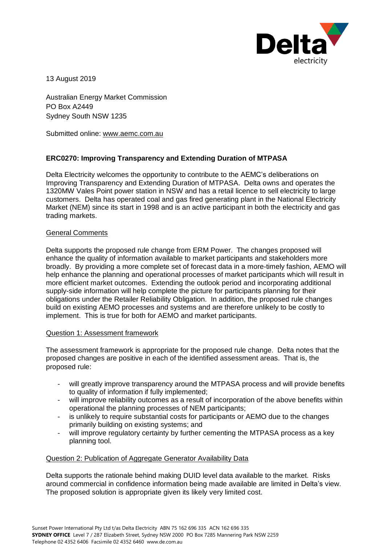

13 August 2019

Australian Energy Market Commission PO Box A2449 Sydney South NSW 1235

Submitted online: [www.aemc.com.au](http://www.aemc.com.au/)

# **ERC0270: Improving Transparency and Extending Duration of MTPASA**

Delta Electricity welcomes the opportunity to contribute to the AEMC's deliberations on Improving Transparency and Extending Duration of MTPASA. Delta owns and operates the 1320MW Vales Point power station in NSW and has a retail licence to sell electricity to large customers. Delta has operated coal and gas fired generating plant in the National Electricity Market (NEM) since its start in 1998 and is an active participant in both the electricity and gas trading markets.

## General Comments

Delta supports the proposed rule change from ERM Power. The changes proposed will enhance the quality of information available to market participants and stakeholders more broadly. By providing a more complete set of forecast data in a more-timely fashion, AEMO will help enhance the planning and operational processes of market participants which will result in more efficient market outcomes. Extending the outlook period and incorporating additional supply-side information will help complete the picture for participants planning for their obligations under the Retailer Reliability Obligation. In addition, the proposed rule changes build on existing AEMO processes and systems and are therefore unlikely to be costly to implement. This is true for both for AEMO and market participants.

## Question 1: Assessment framework

The assessment framework is appropriate for the proposed rule change. Delta notes that the proposed changes are positive in each of the identified assessment areas. That is, the proposed rule:

- will greatly improve transparency around the MTPASA process and will provide benefits to quality of information if fully implemented;
- will improve reliability outcomes as a result of incorporation of the above benefits within operational the planning processes of NEM participants;
- is unlikely to require substantial costs for participants or AEMO due to the changes primarily building on existing systems; and
- will improve regulatory certainty by further cementing the MTPASA process as a key planning tool.

### Question 2: Publication of Aggregate Generator Availability Data

Delta supports the rationale behind making DUID level data available to the market. Risks around commercial in confidence information being made available are limited in Delta's view. The proposed solution is appropriate given its likely very limited cost.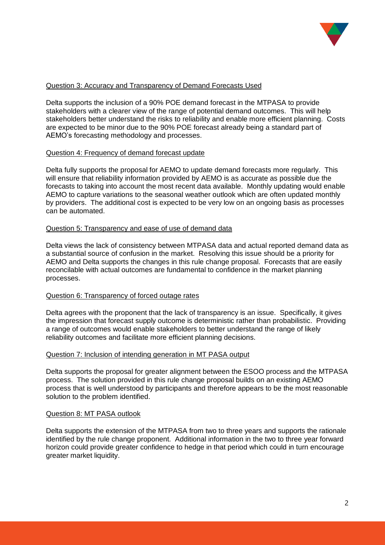

## Question 3: Accuracy and Transparency of Demand Forecasts Used

Delta supports the inclusion of a 90% POE demand forecast in the MTPASA to provide stakeholders with a clearer view of the range of potential demand outcomes. This will help stakeholders better understand the risks to reliability and enable more efficient planning. Costs are expected to be minor due to the 90% POE forecast already being a standard part of AEMO's forecasting methodology and processes.

## Question 4: Frequency of demand forecast update

Delta fully supports the proposal for AEMO to update demand forecasts more regularly. This will ensure that reliability information provided by AEMO is as accurate as possible due the forecasts to taking into account the most recent data available. Monthly updating would enable AEMO to capture variations to the seasonal weather outlook which are often updated monthly by providers. The additional cost is expected to be very low on an ongoing basis as processes can be automated.

### Question 5: Transparency and ease of use of demand data

Delta views the lack of consistency between MTPASA data and actual reported demand data as a substantial source of confusion in the market. Resolving this issue should be a priority for AEMO and Delta supports the changes in this rule change proposal. Forecasts that are easily reconcilable with actual outcomes are fundamental to confidence in the market planning processes.

## Question 6: Transparency of forced outage rates

Delta agrees with the proponent that the lack of transparency is an issue. Specifically, it gives the impression that forecast supply outcome is deterministic rather than probabilistic. Providing a range of outcomes would enable stakeholders to better understand the range of likely reliability outcomes and facilitate more efficient planning decisions.

### Question 7: Inclusion of intending generation in MT PASA output

Delta supports the proposal for greater alignment between the ESOO process and the MTPASA process. The solution provided in this rule change proposal builds on an existing AEMO process that is well understood by participants and therefore appears to be the most reasonable solution to the problem identified.

### Question 8: MT PASA outlook

Delta supports the extension of the MTPASA from two to three years and supports the rationale identified by the rule change proponent. Additional information in the two to three year forward horizon could provide greater confidence to hedge in that period which could in turn encourage greater market liquidity.